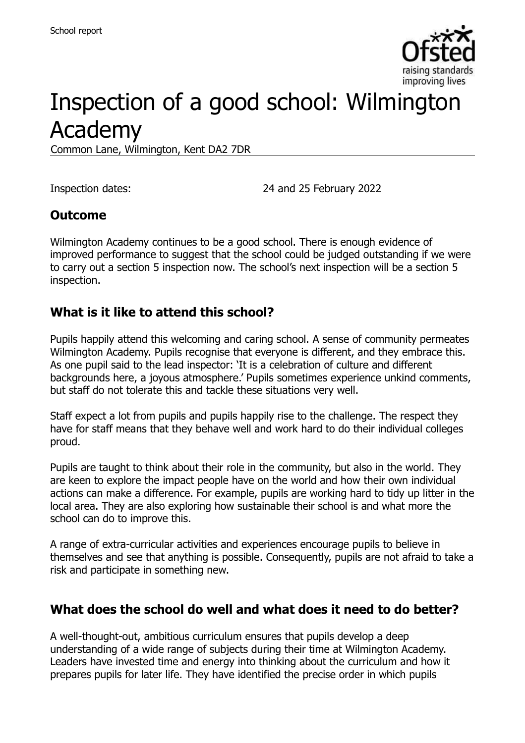

# Inspection of a good school: Wilmington Academy

Common Lane, Wilmington, Kent DA2 7DR

Inspection dates: 24 and 25 February 2022

#### **Outcome**

Wilmington Academy continues to be a good school. There is enough evidence of improved performance to suggest that the school could be judged outstanding if we were to carry out a section 5 inspection now. The school's next inspection will be a section 5 inspection.

#### **What is it like to attend this school?**

Pupils happily attend this welcoming and caring school. A sense of community permeates Wilmington Academy. Pupils recognise that everyone is different, and they embrace this. As one pupil said to the lead inspector: 'It is a celebration of culture and different backgrounds here, a joyous atmosphere.' Pupils sometimes experience unkind comments, but staff do not tolerate this and tackle these situations very well.

Staff expect a lot from pupils and pupils happily rise to the challenge. The respect they have for staff means that they behave well and work hard to do their individual colleges proud.

Pupils are taught to think about their role in the community, but also in the world. They are keen to explore the impact people have on the world and how their own individual actions can make a difference. For example, pupils are working hard to tidy up litter in the local area. They are also exploring how sustainable their school is and what more the school can do to improve this.

A range of extra-curricular activities and experiences encourage pupils to believe in themselves and see that anything is possible. Consequently, pupils are not afraid to take a risk and participate in something new.

#### **What does the school do well and what does it need to do better?**

A well-thought-out, ambitious curriculum ensures that pupils develop a deep understanding of a wide range of subjects during their time at Wilmington Academy. Leaders have invested time and energy into thinking about the curriculum and how it prepares pupils for later life. They have identified the precise order in which pupils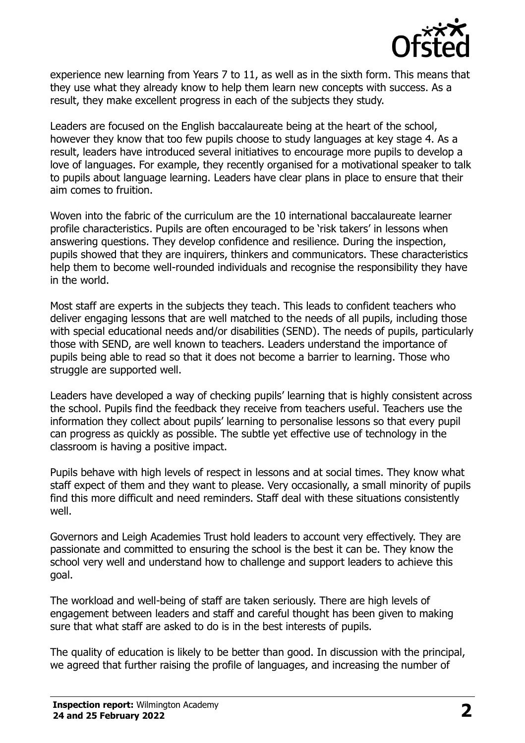

experience new learning from Years 7 to 11, as well as in the sixth form. This means that they use what they already know to help them learn new concepts with success. As a result, they make excellent progress in each of the subjects they study.

Leaders are focused on the English baccalaureate being at the heart of the school, however they know that too few pupils choose to study languages at key stage 4. As a result, leaders have introduced several initiatives to encourage more pupils to develop a love of languages. For example, they recently organised for a motivational speaker to talk to pupils about language learning. Leaders have clear plans in place to ensure that their aim comes to fruition.

Woven into the fabric of the curriculum are the 10 international baccalaureate learner profile characteristics. Pupils are often encouraged to be 'risk takers' in lessons when answering questions. They develop confidence and resilience. During the inspection, pupils showed that they are inquirers, thinkers and communicators. These characteristics help them to become well-rounded individuals and recognise the responsibility they have in the world.

Most staff are experts in the subjects they teach. This leads to confident teachers who deliver engaging lessons that are well matched to the needs of all pupils, including those with special educational needs and/or disabilities (SEND). The needs of pupils, particularly those with SEND, are well known to teachers. Leaders understand the importance of pupils being able to read so that it does not become a barrier to learning. Those who struggle are supported well.

Leaders have developed a way of checking pupils' learning that is highly consistent across the school. Pupils find the feedback they receive from teachers useful. Teachers use the information they collect about pupils' learning to personalise lessons so that every pupil can progress as quickly as possible. The subtle yet effective use of technology in the classroom is having a positive impact.

Pupils behave with high levels of respect in lessons and at social times. They know what staff expect of them and they want to please. Very occasionally, a small minority of pupils find this more difficult and need reminders. Staff deal with these situations consistently well.

Governors and Leigh Academies Trust hold leaders to account very effectively. They are passionate and committed to ensuring the school is the best it can be. They know the school very well and understand how to challenge and support leaders to achieve this goal.

The workload and well-being of staff are taken seriously. There are high levels of engagement between leaders and staff and careful thought has been given to making sure that what staff are asked to do is in the best interests of pupils.

The quality of education is likely to be better than good. In discussion with the principal, we agreed that further raising the profile of languages, and increasing the number of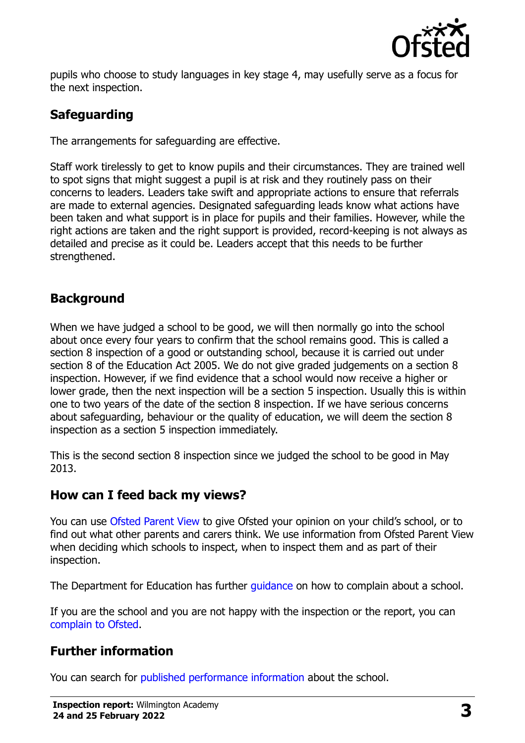

pupils who choose to study languages in key stage 4, may usefully serve as a focus for the next inspection.

## **Safeguarding**

The arrangements for safeguarding are effective.

Staff work tirelessly to get to know pupils and their circumstances. They are trained well to spot signs that might suggest a pupil is at risk and they routinely pass on their concerns to leaders. Leaders take swift and appropriate actions to ensure that referrals are made to external agencies. Designated safeguarding leads know what actions have been taken and what support is in place for pupils and their families. However, while the right actions are taken and the right support is provided, record-keeping is not always as detailed and precise as it could be. Leaders accept that this needs to be further strengthened.

### **Background**

When we have judged a school to be good, we will then normally go into the school about once every four years to confirm that the school remains good. This is called a section 8 inspection of a good or outstanding school, because it is carried out under section 8 of the Education Act 2005. We do not give graded judgements on a section 8 inspection. However, if we find evidence that a school would now receive a higher or lower grade, then the next inspection will be a section 5 inspection. Usually this is within one to two years of the date of the section 8 inspection. If we have serious concerns about safeguarding, behaviour or the quality of education, we will deem the section 8 inspection as a section 5 inspection immediately.

This is the second section 8 inspection since we judged the school to be good in May 2013.

#### **How can I feed back my views?**

You can use [Ofsted Parent View](https://parentview.ofsted.gov.uk/) to give Ofsted your opinion on your child's school, or to find out what other parents and carers think. We use information from Ofsted Parent View when deciding which schools to inspect, when to inspect them and as part of their inspection.

The Department for Education has further quidance on how to complain about a school.

If you are the school and you are not happy with the inspection or the report, you can [complain to Ofsted.](https://www.gov.uk/complain-ofsted-report)

#### **Further information**

You can search for [published performance information](http://www.compare-school-performance.service.gov.uk/) about the school.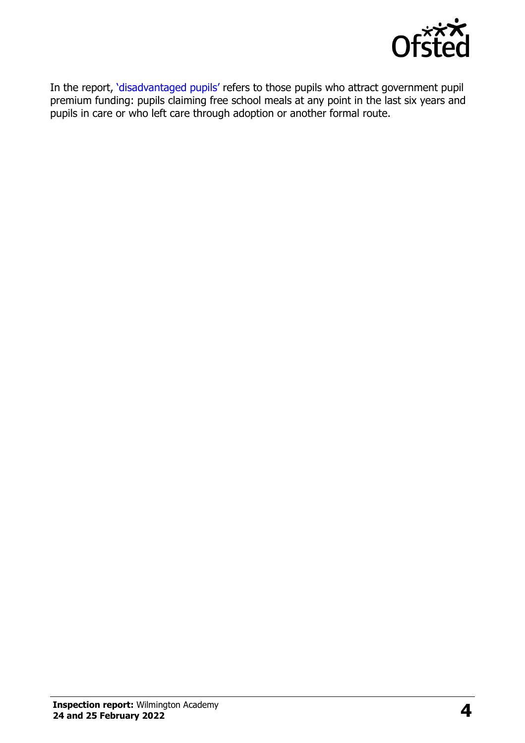

In the report, '[disadvantaged pupils](http://www.gov.uk/guidance/pupil-premium-information-for-schools-and-alternative-provision-settings)' refers to those pupils who attract government pupil premium funding: pupils claiming free school meals at any point in the last six years and pupils in care or who left care through adoption or another formal route.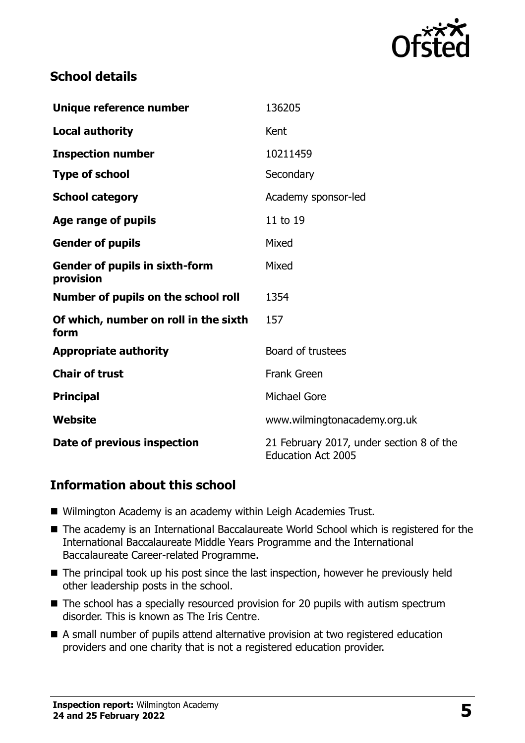

### **School details**

| Unique reference number                            | 136205                                                                |
|----------------------------------------------------|-----------------------------------------------------------------------|
| <b>Local authority</b>                             | Kent                                                                  |
| <b>Inspection number</b>                           | 10211459                                                              |
| <b>Type of school</b>                              | Secondary                                                             |
| <b>School category</b>                             | Academy sponsor-led                                                   |
| Age range of pupils                                | 11 to 19                                                              |
| <b>Gender of pupils</b>                            | Mixed                                                                 |
| <b>Gender of pupils in sixth-form</b><br>provision | Mixed                                                                 |
| Number of pupils on the school roll                | 1354                                                                  |
| Of which, number on roll in the sixth<br>form      | 157                                                                   |
| <b>Appropriate authority</b>                       | Board of trustees                                                     |
| <b>Chair of trust</b>                              | <b>Frank Green</b>                                                    |
| <b>Principal</b>                                   | <b>Michael Gore</b>                                                   |
| Website                                            | www.wilmingtonacademy.org.uk                                          |
| Date of previous inspection                        | 21 February 2017, under section 8 of the<br><b>Education Act 2005</b> |

#### **Information about this school**

- Wilmington Academy is an academy within Leigh Academies Trust.
- The academy is an International Baccalaureate World School which is registered for the International Baccalaureate Middle Years Programme and the International Baccalaureate Career-related Programme.
- The principal took up his post since the last inspection, however he previously held other leadership posts in the school.
- The school has a specially resourced provision for 20 pupils with autism spectrum disorder. This is known as The Iris Centre.
- A small number of pupils attend alternative provision at two registered education providers and one charity that is not a registered education provider.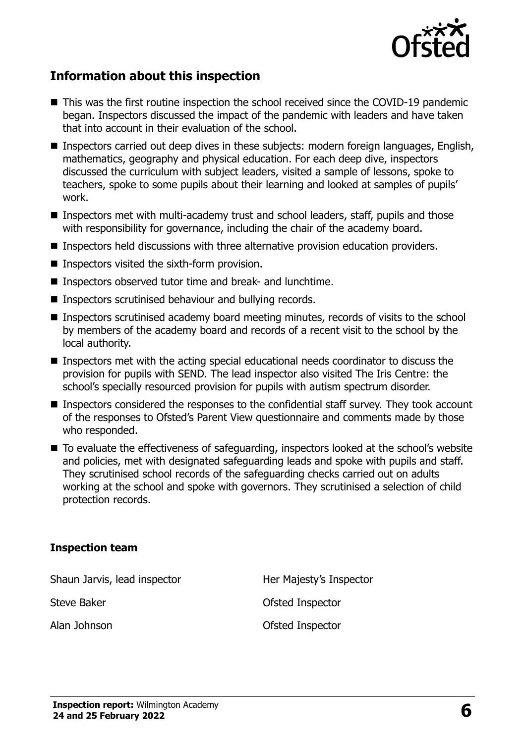

#### **Information about this inspection**

- This was the first routine inspection the school received since the COVID-19 pandemic began. Inspectors discussed the impact of the pandemic with leaders and have taken that into account in their evaluation of the school.
- Inspectors carried out deep dives in these subjects: modern foreign languages, English, mathematics, geography and physical education. For each deep dive, inspectors discussed the curriculum with subject leaders, visited a sample of lessons, spoke to teachers, spoke to some pupils about their learning and looked at samples of pupils' work.
- Inspectors met with multi-academy trust and school leaders, staff, pupils and those with responsibility for governance, including the chair of the academy board.
- Inspectors held discussions with three alternative provision education providers.
- Inspectors visited the sixth-form provision.
- Inspectors observed tutor time and break- and lunchtime.
- Inspectors scrutinised behaviour and bullying records.
- Inspectors scrutinised academy board meeting minutes, records of visits to the school by members of the academy board and records of a recent visit to the school by the local authority.
- Inspectors met with the acting special educational needs coordinator to discuss the provision for pupils with SEND. The lead inspector also visited The Iris Centre: the school's specially resourced provision for pupils with autism spectrum disorder.
- Inspectors considered the responses to the confidential staff survey. They took account of the responses to Ofsted's Parent View questionnaire and comments made by those who responded.
- To evaluate the effectiveness of safeguarding, inspectors looked at the school's website and policies, met with designated safeguarding leads and spoke with pupils and staff. They scrutinised school records of the safeguarding checks carried out on adults working at the school and spoke with governors. They scrutinised a selection of child protection records.

#### **Inspection team**

Shaun Jarvis, lead inspector **Her Majesty's Inspector** Steve Baker **Steve Baker COLLEGE Inspector** Alan Johnson **Calculation** Ofsted Inspector